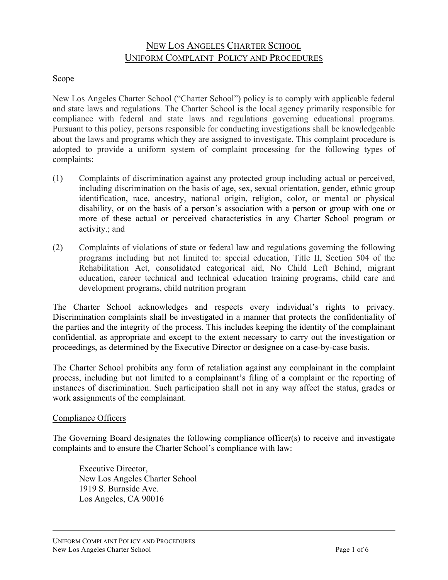# NEW LOS ANGELES CHARTER SCHOOL UNIFORM COMPLAINT POLICY AND PROCEDURES

### Scope

New Los Angeles Charter School ("Charter School") policy is to comply with applicable federal and state laws and regulations. The Charter School is the local agency primarily responsible for compliance with federal and state laws and regulations governing educational programs. Pursuant to this policy, persons responsible for conducting investigations shall be knowledgeable about the laws and programs which they are assigned to investigate. This complaint procedure is adopted to provide a uniform system of complaint processing for the following types of complaints:

- (1) Complaints of discrimination against any protected group including actual or perceived, including discrimination on the basis of age, sex, sexual orientation, gender, ethnic group identification, race, ancestry, national origin, religion, color, or mental or physical disability, or on the basis of a person's association with a person or group with one or more of these actual or perceived characteristics in any Charter School program or activity.; and
- (2) Complaints of violations of state or federal law and regulations governing the following programs including but not limited to: special education, Title II, Section 504 of the Rehabilitation Act, consolidated categorical aid, No Child Left Behind, migrant education, career technical and technical education training programs, child care and development programs, child nutrition program

The Charter School acknowledges and respects every individual's rights to privacy. Discrimination complaints shall be investigated in a manner that protects the confidentiality of the parties and the integrity of the process. This includes keeping the identity of the complainant confidential, as appropriate and except to the extent necessary to carry out the investigation or proceedings, as determined by the Executive Director or designee on a case-by-case basis.

The Charter School prohibits any form of retaliation against any complainant in the complaint process, including but not limited to a complainant's filing of a complaint or the reporting of instances of discrimination. Such participation shall not in any way affect the status, grades or work assignments of the complainant.

#### Compliance Officers

The Governing Board designates the following compliance officer(s) to receive and investigate complaints and to ensure the Charter School's compliance with law:

Executive Director, New Los Angeles Charter School 1919 S. Burnside Ave. Los Angeles, CA 90016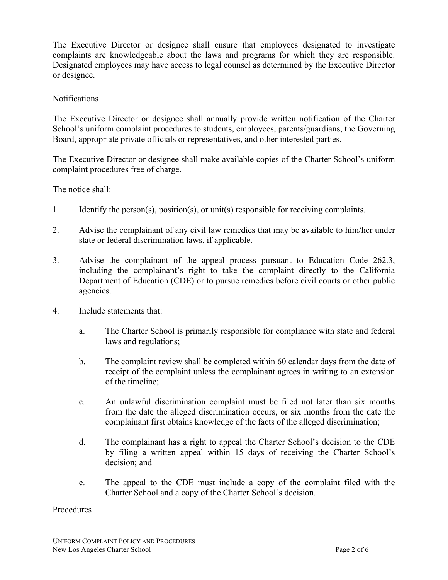The Executive Director or designee shall ensure that employees designated to investigate complaints are knowledgeable about the laws and programs for which they are responsible. Designated employees may have access to legal counsel as determined by the Executive Director or designee.

#### Notifications

The Executive Director or designee shall annually provide written notification of the Charter School's uniform complaint procedures to students, employees, parents/guardians, the Governing Board, appropriate private officials or representatives, and other interested parties.

The Executive Director or designee shall make available copies of the Charter School's uniform complaint procedures free of charge.

The notice shall:

- 1. Identify the person(s), position(s), or unit(s) responsible for receiving complaints.
- 2. Advise the complainant of any civil law remedies that may be available to him/her under state or federal discrimination laws, if applicable.
- 3. Advise the complainant of the appeal process pursuant to Education Code 262.3, including the complainant's right to take the complaint directly to the California Department of Education (CDE) or to pursue remedies before civil courts or other public agencies.
- 4. Include statements that:
	- a. The Charter School is primarily responsible for compliance with state and federal laws and regulations;
	- b. The complaint review shall be completed within 60 calendar days from the date of receipt of the complaint unless the complainant agrees in writing to an extension of the timeline;
	- c. An unlawful discrimination complaint must be filed not later than six months from the date the alleged discrimination occurs, or six months from the date the complainant first obtains knowledge of the facts of the alleged discrimination;
	- d. The complainant has a right to appeal the Charter School's decision to the CDE by filing a written appeal within 15 days of receiving the Charter School's decision; and
	- e. The appeal to the CDE must include a copy of the complaint filed with the Charter School and a copy of the Charter School's decision.

#### Procedures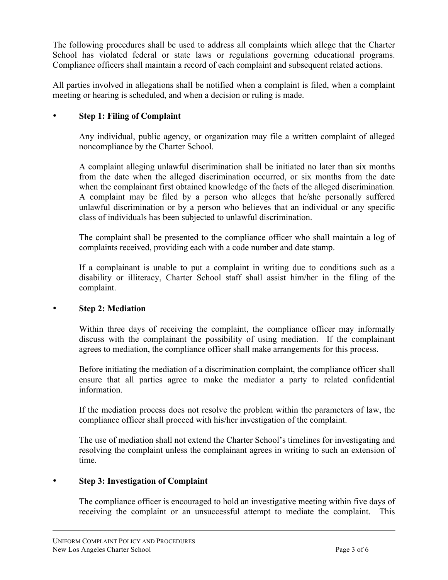The following procedures shall be used to address all complaints which allege that the Charter School has violated federal or state laws or regulations governing educational programs. Compliance officers shall maintain a record of each complaint and subsequent related actions.

All parties involved in allegations shall be notified when a complaint is filed, when a complaint meeting or hearing is scheduled, and when a decision or ruling is made.

## • **Step 1: Filing of Complaint**

Any individual, public agency, or organization may file a written complaint of alleged noncompliance by the Charter School.

A complaint alleging unlawful discrimination shall be initiated no later than six months from the date when the alleged discrimination occurred, or six months from the date when the complainant first obtained knowledge of the facts of the alleged discrimination. A complaint may be filed by a person who alleges that he/she personally suffered unlawful discrimination or by a person who believes that an individual or any specific class of individuals has been subjected to unlawful discrimination.

The complaint shall be presented to the compliance officer who shall maintain a log of complaints received, providing each with a code number and date stamp.

If a complainant is unable to put a complaint in writing due to conditions such as a disability or illiteracy, Charter School staff shall assist him/her in the filing of the complaint.

#### • **Step 2: Mediation**

Within three days of receiving the complaint, the compliance officer may informally discuss with the complainant the possibility of using mediation. If the complainant agrees to mediation, the compliance officer shall make arrangements for this process.

Before initiating the mediation of a discrimination complaint, the compliance officer shall ensure that all parties agree to make the mediator a party to related confidential information.

If the mediation process does not resolve the problem within the parameters of law, the compliance officer shall proceed with his/her investigation of the complaint.

The use of mediation shall not extend the Charter School's timelines for investigating and resolving the complaint unless the complainant agrees in writing to such an extension of time.

#### • **Step 3: Investigation of Complaint**

The compliance officer is encouraged to hold an investigative meeting within five days of receiving the complaint or an unsuccessful attempt to mediate the complaint. This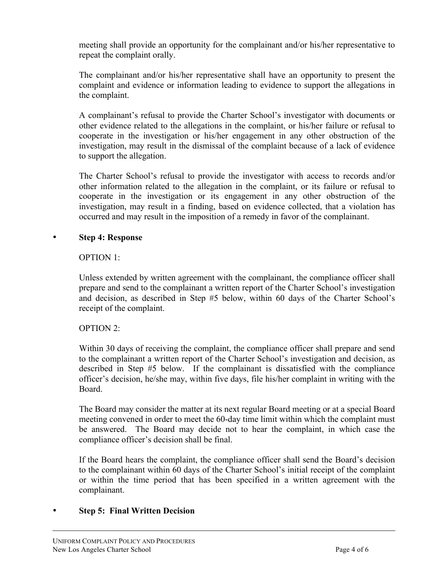meeting shall provide an opportunity for the complainant and/or his/her representative to repeat the complaint orally.

The complainant and/or his/her representative shall have an opportunity to present the complaint and evidence or information leading to evidence to support the allegations in the complaint.

A complainant's refusal to provide the Charter School's investigator with documents or other evidence related to the allegations in the complaint, or his/her failure or refusal to cooperate in the investigation or his/her engagement in any other obstruction of the investigation, may result in the dismissal of the complaint because of a lack of evidence to support the allegation.

The Charter School's refusal to provide the investigator with access to records and/or other information related to the allegation in the complaint, or its failure or refusal to cooperate in the investigation or its engagement in any other obstruction of the investigation, may result in a finding, based on evidence collected, that a violation has occurred and may result in the imposition of a remedy in favor of the complainant.

#### • **Step 4: Response**

#### OPTION 1:

Unless extended by written agreement with the complainant, the compliance officer shall prepare and send to the complainant a written report of the Charter School's investigation and decision, as described in Step #5 below, within 60 days of the Charter School's receipt of the complaint.

#### OPTION 2:

Within 30 days of receiving the complaint, the compliance officer shall prepare and send to the complainant a written report of the Charter School's investigation and decision, as described in Step #5 below. If the complainant is dissatisfied with the compliance officer's decision, he/she may, within five days, file his/her complaint in writing with the Board.

The Board may consider the matter at its next regular Board meeting or at a special Board meeting convened in order to meet the 60-day time limit within which the complaint must be answered. The Board may decide not to hear the complaint, in which case the compliance officer's decision shall be final.

If the Board hears the complaint, the compliance officer shall send the Board's decision to the complainant within 60 days of the Charter School's initial receipt of the complaint or within the time period that has been specified in a written agreement with the complainant.

#### • **Step 5: Final Written Decision**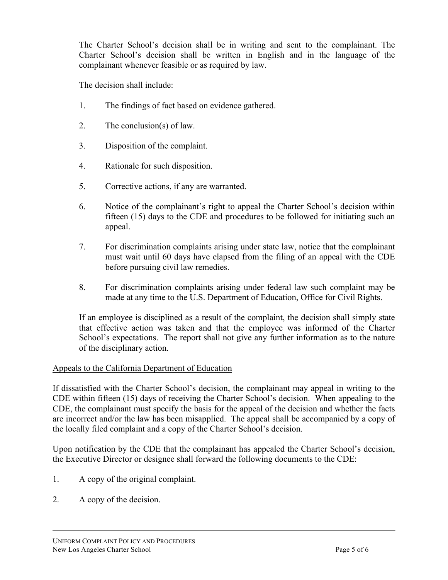The Charter School's decision shall be in writing and sent to the complainant. The Charter School's decision shall be written in English and in the language of the complainant whenever feasible or as required by law.

The decision shall include:

- 1. The findings of fact based on evidence gathered.
- 2. The conclusion(s) of law.
- 3. Disposition of the complaint.
- 4. Rationale for such disposition.
- 5. Corrective actions, if any are warranted.
- 6. Notice of the complainant's right to appeal the Charter School's decision within fifteen (15) days to the CDE and procedures to be followed for initiating such an appeal.
- 7. For discrimination complaints arising under state law, notice that the complainant must wait until 60 days have elapsed from the filing of an appeal with the CDE before pursuing civil law remedies.
- 8. For discrimination complaints arising under federal law such complaint may be made at any time to the U.S. Department of Education, Office for Civil Rights.

If an employee is disciplined as a result of the complaint, the decision shall simply state that effective action was taken and that the employee was informed of the Charter School's expectations. The report shall not give any further information as to the nature of the disciplinary action.

#### Appeals to the California Department of Education

If dissatisfied with the Charter School's decision, the complainant may appeal in writing to the CDE within fifteen (15) days of receiving the Charter School's decision. When appealing to the CDE, the complainant must specify the basis for the appeal of the decision and whether the facts are incorrect and/or the law has been misapplied. The appeal shall be accompanied by a copy of the locally filed complaint and a copy of the Charter School's decision.

Upon notification by the CDE that the complainant has appealed the Charter School's decision, the Executive Director or designee shall forward the following documents to the CDE:

- 1. A copy of the original complaint.
- 2. A copy of the decision.